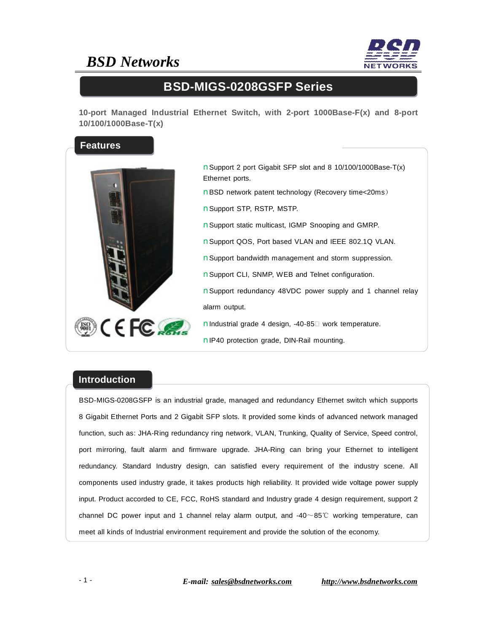## *BSD Networks*



#### **BSD-MIGS-0208GSFP Series**

**10-port Managed Industrial Ethernet Switch, with 2-port 1000Base-F(x) and 8-port 10/100/1000Base-T(x)** 



nSupport 2 port Gigabit SFP slot and 8 10/100/1000Base-T(x) Ethernet ports. nBSD network patent technology (Recovery time<20ms) nSupport STP, RSTP, MSTP. nSupport static multicast, IGMP Snooping and GMRP. nSupport QOS, Port based VLAN and IEEE 802.1Q VLAN. nSupport bandwidth management and storm suppression. nSupport CLI, SNMP, WEB and Telnet configuration. nSupport redundancy 48VDC power supply and 1 channel relay alarm output. nIndustrial grade 4 design, -40-85□ work temperature. nIP40 protection grade, DIN-Rail mounting.

#### **Introduction**

BSD-MIGS-0208GSFP is an industrial grade, managed and redundancy Ethernet switch which supports 8 Gigabit Ethernet Ports and 2 Gigabit SFP slots. It provided some kinds of advanced network managed function, such as: JHA-Ring redundancy ring network, VLAN, Trunking, Quality of Service, Speed control, port mirroring, fault alarm and firmware upgrade. JHA-Ring can bring your Ethernet to intelligent redundancy. Standard Industry design, can satisfied every requirement of the industry scene. All components used industry grade, it takes products high reliability. It provided wide voltage power supply input. Product accorded to CE, FCC, RoHS standard and Industry grade 4 design requirement, support 2 channel DC power input and 1 channel relay alarm output, and  $-40 \sim 85^{\circ}$  working temperature, can meet all kinds of Industrial environment requirement and provide the solution of the economy.

- 1 - *E-mail: [sales@bsdnetworks.com](mailto:sales@bsdnetworks.com) <http://www.bsdnetworks.com>*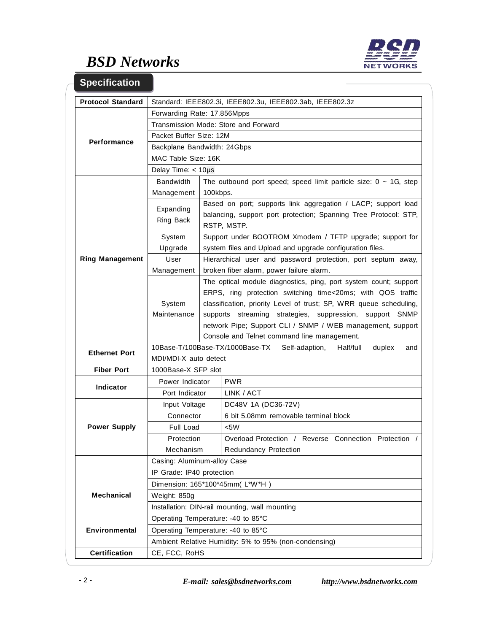

# *BSD Networks*

| <b>Specification</b>     |                                                                                            |                                                                                                                                                                                                                                                                                                                                                                                |                                                       |  |  |
|--------------------------|--------------------------------------------------------------------------------------------|--------------------------------------------------------------------------------------------------------------------------------------------------------------------------------------------------------------------------------------------------------------------------------------------------------------------------------------------------------------------------------|-------------------------------------------------------|--|--|
| <b>Protocol Standard</b> | Standard: IEEE802.3i, IEEE802.3u, IEEE802.3ab, IEEE802.3z                                  |                                                                                                                                                                                                                                                                                                                                                                                |                                                       |  |  |
|                          | Forwarding Rate: 17.856Mpps                                                                |                                                                                                                                                                                                                                                                                                                                                                                |                                                       |  |  |
| <b>Performance</b>       | Transmission Mode: Store and Forward                                                       |                                                                                                                                                                                                                                                                                                                                                                                |                                                       |  |  |
|                          | Packet Buffer Size: 12M                                                                    |                                                                                                                                                                                                                                                                                                                                                                                |                                                       |  |  |
|                          | Backplane Bandwidth: 24Gbps                                                                |                                                                                                                                                                                                                                                                                                                                                                                |                                                       |  |  |
|                          | MAC Table Size: 16K                                                                        |                                                                                                                                                                                                                                                                                                                                                                                |                                                       |  |  |
|                          | Delay Time: $<$ 10 $\mu$ s                                                                 |                                                                                                                                                                                                                                                                                                                                                                                |                                                       |  |  |
| <b>Ring Management</b>   | <b>Bandwidth</b><br>The outbound port speed; speed limit particle size: $0 \sim 1$ G, step |                                                                                                                                                                                                                                                                                                                                                                                |                                                       |  |  |
|                          | Management                                                                                 | 100kbps.                                                                                                                                                                                                                                                                                                                                                                       |                                                       |  |  |
|                          | Expanding<br>Ring Back                                                                     | Based on port; supports link aggregation / LACP; support load<br>balancing, support port protection; Spanning Tree Protocol: STP,<br>RSTP, MSTP.                                                                                                                                                                                                                               |                                                       |  |  |
|                          | System<br>Upgrade                                                                          | Support under BOOTROM Xmodem / TFTP upgrade; support for<br>system files and Upload and upgrade configuration files.                                                                                                                                                                                                                                                           |                                                       |  |  |
|                          | User                                                                                       | Hierarchical user and password protection, port septum away,                                                                                                                                                                                                                                                                                                                   |                                                       |  |  |
|                          | Management                                                                                 | broken fiber alarm, power failure alarm.                                                                                                                                                                                                                                                                                                                                       |                                                       |  |  |
|                          | System<br>Maintenance                                                                      | The optical module diagnostics, ping, port system count; support<br>ERPS, ring protection switching time<20ms; with QOS traffic<br>classification, priority Level of trust; SP, WRR queue scheduling,<br>supports streaming strategies, suppression, support SNMP<br>network Pipe; Support CLI / SNMP / WEB management, support<br>Console and Telnet command line management. |                                                       |  |  |
| <b>Ethernet Port</b>     | 10Base-T/100Base-TX/1000Base-TX<br>Self-adaption,<br>Half/full<br>duplex<br>and            |                                                                                                                                                                                                                                                                                                                                                                                |                                                       |  |  |
|                          | MDI/MDI-X auto detect                                                                      |                                                                                                                                                                                                                                                                                                                                                                                |                                                       |  |  |
| <b>Fiber Port</b>        | 1000Base-X SFP slot                                                                        |                                                                                                                                                                                                                                                                                                                                                                                |                                                       |  |  |
| <b>Indicator</b>         | Power Indicator                                                                            |                                                                                                                                                                                                                                                                                                                                                                                | <b>PWR</b>                                            |  |  |
|                          | Port Indicator                                                                             |                                                                                                                                                                                                                                                                                                                                                                                | LINK / ACT                                            |  |  |
| <b>Power Supply</b>      | Input Voltage                                                                              |                                                                                                                                                                                                                                                                                                                                                                                | DC48V 1A (DC36-72V)                                   |  |  |
|                          | Connector                                                                                  |                                                                                                                                                                                                                                                                                                                                                                                | 6 bit 5.08mm removable terminal block                 |  |  |
|                          | Full Load                                                                                  |                                                                                                                                                                                                                                                                                                                                                                                | <5W                                                   |  |  |
|                          | Protection                                                                                 |                                                                                                                                                                                                                                                                                                                                                                                | Overload Protection / Reverse Connection Protection / |  |  |
|                          | Mechanism                                                                                  |                                                                                                                                                                                                                                                                                                                                                                                | <b>Redundancy Protection</b>                          |  |  |
|                          | Casing: Aluminum-alloy Case                                                                |                                                                                                                                                                                                                                                                                                                                                                                |                                                       |  |  |
|                          | IP Grade: IP40 protection                                                                  |                                                                                                                                                                                                                                                                                                                                                                                |                                                       |  |  |
|                          | Dimension: 165*100*45mm(L*W*H)                                                             |                                                                                                                                                                                                                                                                                                                                                                                |                                                       |  |  |
| <b>Mechanical</b>        | Weight: 850g                                                                               |                                                                                                                                                                                                                                                                                                                                                                                |                                                       |  |  |
|                          | Installation: DIN-rail mounting, wall mounting                                             |                                                                                                                                                                                                                                                                                                                                                                                |                                                       |  |  |
|                          | Operating Temperature: -40 to 85°C                                                         |                                                                                                                                                                                                                                                                                                                                                                                |                                                       |  |  |
| Environmental            | Operating Temperature: -40 to 85°C                                                         |                                                                                                                                                                                                                                                                                                                                                                                |                                                       |  |  |
|                          | Ambient Relative Humidity: 5% to 95% (non-condensing)                                      |                                                                                                                                                                                                                                                                                                                                                                                |                                                       |  |  |
| <b>Certification</b>     | CE, FCC, RoHS                                                                              |                                                                                                                                                                                                                                                                                                                                                                                |                                                       |  |  |